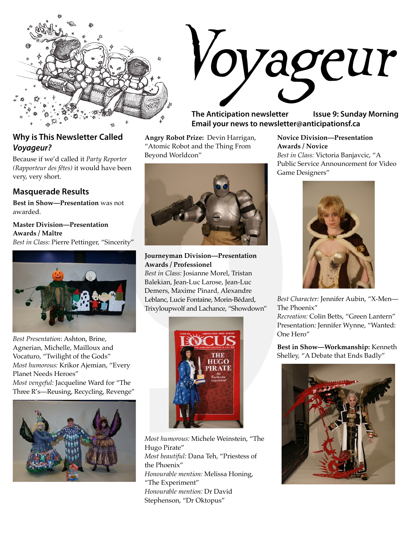

### **Why is This Newsletter Called Voyageur?**

Because if we'd called it *Party Reporter (Rapporteur des fêtes)* it would have been very, very short.

#### **Masquerade Results**

**Best in Show—Presentation** was not awarded.

**Master Division—Presentation Awards / Maître** *Best in Class*: Pierre Pettinger, "Sincerity"



*Best Presentation*: Ashton, Brine, Agnerian, Michelle, Mailloux and Vocaturo, "Twilight of the Gods" *Most humorous:* Krikor Ajemian, "Every Planet Needs Heroes" *Most vengeful:* Jacqueline Ward for "The Three R's—Reusing, Recycling, Revenge"



*Voyageur*

**The Anticipation newsletter Issue 9: Sunday Morning Email your news to newsletter@anticipationsf.ca**

**Angry Robot Prize:** Devin Harrigan, "Atomic Robot and the Thing From Beyond Worldcon"



**Journeyman Division—Presentation Awards / Professionel**

*Best in Class:* Josianne Morel, Tristan Balekian, Jean-Luc Larose, Jean-Luc Demers, Maxime Pinard, Alexandre Leblanc, Lucie Fontaine, Morin-Bédard, Trixyloupwolf and Lachance, "Showdown"



*Most humorous:* Michele Weinstein, "The Hugo Pirate" *Most beautiful:* Dana Teh, "Priestess of the Phoenix" *Honourable mention:* Melissa Honing, "The Experiment" *Honourable mention:* Dr David Stephenson, "Dr Oktopus"

**Novice Division—Presentation Awards / Novice** *Best in Class:* Victoria Banjavcic, "A Public Service Announcement for Video Game Designers"



*Best Character:* Jennifer Aubin, "X-Men— The Phoenix"

*Recreation:* Colin Betts, "Green Lantern" Presentation: Jennifer Wynne, "Wanted: One Hero"

**Best in Show—Workmanship:** Kenneth Shelley, "A Debate that Ends Badly"